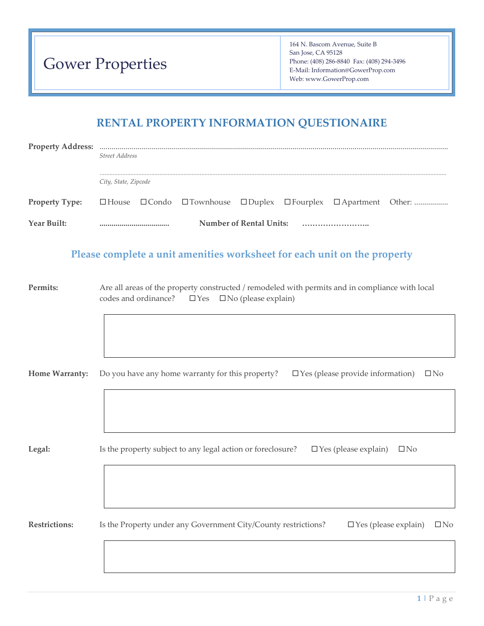| <b>Gower Properties</b> |  |  |
|-------------------------|--|--|
|-------------------------|--|--|

164 N. Bascom Avenue, Suite B San Jose, CA 95128 Phone: (408) 286-8840 Fax: (408) 294-3496 E-Mail: Information@GowerProp.com Web: www.GowerProp.com

# **RENTAL PROPERTY INFORMATION QUESTIONAIRE**

| <b>Property Address:</b> | <b>Street Address</b>                                                                                                                                            |  |
|--------------------------|------------------------------------------------------------------------------------------------------------------------------------------------------------------|--|
|                          | City, State, Zipcode                                                                                                                                             |  |
| <b>Property Type:</b>    | $\square$ Townhouse<br>□Duplex □Fourplex □Apartment Other:<br>$\Box$ House<br>$\Box$ Condo                                                                       |  |
| Year Built:              | <b>Number of Rental Units:</b><br>                                                                                                                               |  |
|                          | Please complete a unit amenities worksheet for each unit on the property                                                                                         |  |
| Permits:                 | Are all areas of the property constructed / remodeled with permits and in compliance with local<br>codes and ordinance?<br>$\Box$ Yes $\Box$ No (please explain) |  |
|                          |                                                                                                                                                                  |  |
| <b>Home Warranty:</b>    | Do you have any home warranty for this property?<br>$\Box$ Yes (please provide information)<br>$\square$ No                                                      |  |
|                          |                                                                                                                                                                  |  |
| Legal:                   | Is the property subject to any legal action or foreclosure?<br>$\Box$ Yes (please explain)<br>$\Box$ No                                                          |  |
|                          |                                                                                                                                                                  |  |
| <b>Restrictions:</b>     | Is the Property under any Government City/County restrictions?<br>$\Box$ Yes (please explain)<br>$\Box$ No                                                       |  |
|                          |                                                                                                                                                                  |  |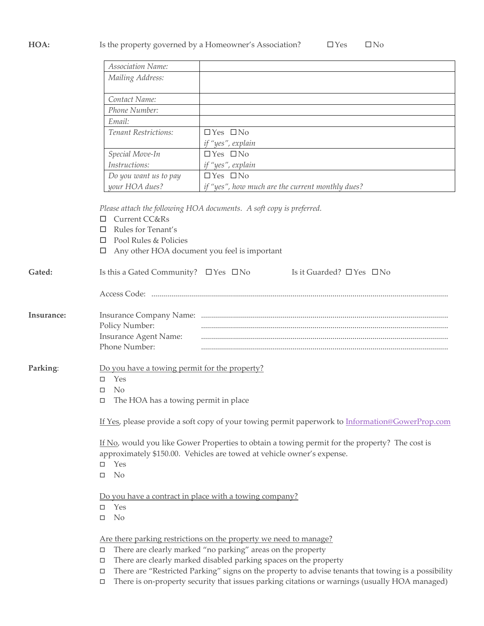## HOA: Is the property governed by a Homeowner's Association? □ Yes □ No

|                                                       | Association Name:                                                                                                                                                                                                |                                                                                                                                                                                                                                                                                                             |  |  |
|-------------------------------------------------------|------------------------------------------------------------------------------------------------------------------------------------------------------------------------------------------------------------------|-------------------------------------------------------------------------------------------------------------------------------------------------------------------------------------------------------------------------------------------------------------------------------------------------------------|--|--|
|                                                       | Mailing Address:                                                                                                                                                                                                 |                                                                                                                                                                                                                                                                                                             |  |  |
|                                                       | Contact Name:                                                                                                                                                                                                    |                                                                                                                                                                                                                                                                                                             |  |  |
|                                                       | Phone Number:                                                                                                                                                                                                    |                                                                                                                                                                                                                                                                                                             |  |  |
|                                                       | Email:                                                                                                                                                                                                           |                                                                                                                                                                                                                                                                                                             |  |  |
|                                                       | Tenant Restrictions:                                                                                                                                                                                             | $\Box$ Yes $\Box$ No                                                                                                                                                                                                                                                                                        |  |  |
|                                                       | if "yes", explain                                                                                                                                                                                                |                                                                                                                                                                                                                                                                                                             |  |  |
|                                                       | $\Box$ Yes $\Box$ No                                                                                                                                                                                             |                                                                                                                                                                                                                                                                                                             |  |  |
| Special Move-In<br>Instructions:<br>if "yes", explain |                                                                                                                                                                                                                  |                                                                                                                                                                                                                                                                                                             |  |  |
|                                                       | Do you want us to pay                                                                                                                                                                                            | $\Box$ Yes $\Box$ No                                                                                                                                                                                                                                                                                        |  |  |
|                                                       | your HOA dues?                                                                                                                                                                                                   | if "yes", how much are the current monthly dues?                                                                                                                                                                                                                                                            |  |  |
|                                                       | <b>Current CC&amp;Rs</b><br>□<br>Rules for Tenant's<br>□<br>Pool Rules & Policies<br>П<br>□                                                                                                                      | Please attach the following HOA documents. A soft copy is preferred.<br>Any other HOA document you feel is important                                                                                                                                                                                        |  |  |
| Gated:                                                | Is this a Gated Community? $\Box$ Yes $\Box$ No                                                                                                                                                                  | Is it Guarded? $\Box$ Yes $\Box$ No                                                                                                                                                                                                                                                                         |  |  |
|                                                       |                                                                                                                                                                                                                  |                                                                                                                                                                                                                                                                                                             |  |  |
| Insurance:                                            | Policy Number:<br><b>Insurance Agent Name:</b><br>Phone Number:                                                                                                                                                  |                                                                                                                                                                                                                                                                                                             |  |  |
| Parking:                                              | Do you have a towing permit for the property?<br>Yes<br>П.<br><b>No</b><br>□<br>The HOA has a towing permit in place<br>□                                                                                        |                                                                                                                                                                                                                                                                                                             |  |  |
|                                                       | If Yes, please provide a soft copy of your towing permit paperwork to Information@GowerProp.com                                                                                                                  |                                                                                                                                                                                                                                                                                                             |  |  |
|                                                       | If No, would you like Gower Properties to obtain a towing permit for the property? The cost is<br>approximately \$150.00. Vehicles are towed at vehicle owner's expense.<br>Yes<br>$\Box$<br>N <sub>o</sub><br>□ |                                                                                                                                                                                                                                                                                                             |  |  |
|                                                       | Yes<br>$\Box$<br>N <sub>o</sub><br>□                                                                                                                                                                             | Do you have a contract in place with a towing company?                                                                                                                                                                                                                                                      |  |  |
|                                                       | $\Box$<br>□<br>$\Box$                                                                                                                                                                                            | Are there parking restrictions on the property we need to manage?<br>There are clearly marked "no parking" areas on the property<br>There are clearly marked disabled parking spaces on the property<br>There are "Restricted Parking" signs on the property to advise tenants that towing is a possibility |  |  |

There is on-property security that issues parking citations or warnings (usually HOA managed)